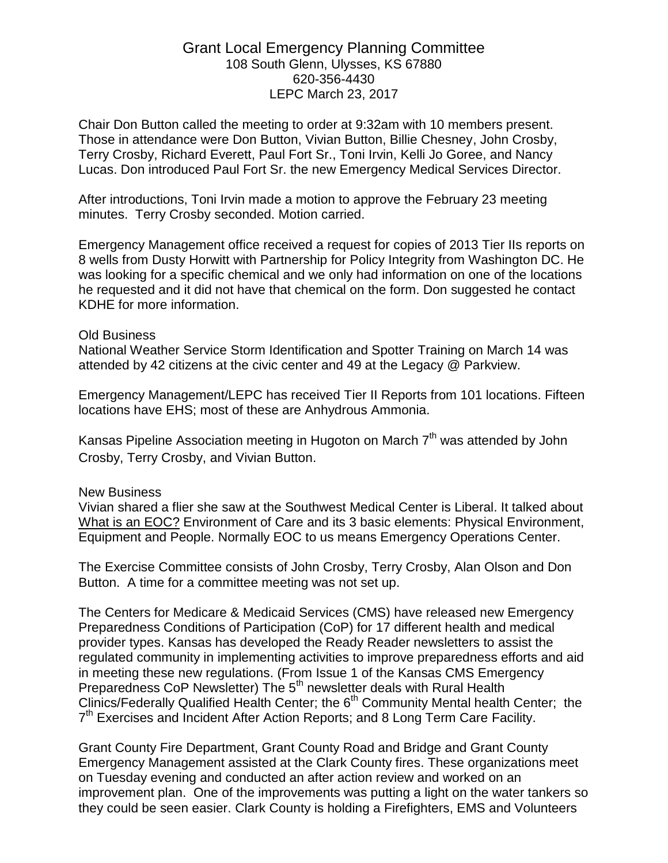## Grant Local Emergency Planning Committee 108 South Glenn, Ulysses, KS 67880 620-356-4430 LEPC March 23, 2017

Chair Don Button called the meeting to order at 9:32am with 10 members present. Those in attendance were Don Button, Vivian Button, Billie Chesney, John Crosby, Terry Crosby, Richard Everett, Paul Fort Sr., Toni Irvin, Kelli Jo Goree, and Nancy Lucas. Don introduced Paul Fort Sr. the new Emergency Medical Services Director.

After introductions, Toni Irvin made a motion to approve the February 23 meeting minutes. Terry Crosby seconded. Motion carried.

Emergency Management office received a request for copies of 2013 Tier IIs reports on 8 wells from Dusty Horwitt with Partnership for Policy Integrity from Washington DC. He was looking for a specific chemical and we only had information on one of the locations he requested and it did not have that chemical on the form. Don suggested he contact KDHE for more information.

## Old Business

National Weather Service Storm Identification and Spotter Training on March 14 was attended by 42 citizens at the civic center and 49 at the Legacy @ Parkview.

Emergency Management/LEPC has received Tier II Reports from 101 locations. Fifteen locations have EHS; most of these are Anhydrous Ammonia.

Kansas Pipeline Association meeting in Hugoton on March  $7<sup>th</sup>$  was attended by John Crosby, Terry Crosby, and Vivian Button.

## New Business

Vivian shared a flier she saw at the Southwest Medical Center is Liberal. It talked about What is an EOC? Environment of Care and its 3 basic elements: Physical Environment, Equipment and People. Normally EOC to us means Emergency Operations Center.

The Exercise Committee consists of John Crosby, Terry Crosby, Alan Olson and Don Button. A time for a committee meeting was not set up.

The Centers for Medicare & Medicaid Services (CMS) have released new Emergency Preparedness Conditions of Participation (CoP) for 17 different health and medical provider types. Kansas has developed the Ready Reader newsletters to assist the regulated community in implementing activities to improve preparedness efforts and aid in meeting these new regulations. (From Issue 1 of the Kansas CMS Emergency Preparedness CoP Newsletter) The 5<sup>th</sup> newsletter deals with Rural Health Clinics/Federally Qualified Health Center; the 6<sup>th</sup> Community Mental health Center; the 7<sup>th</sup> Exercises and Incident After Action Reports; and 8 Long Term Care Facility.

Grant County Fire Department, Grant County Road and Bridge and Grant County Emergency Management assisted at the Clark County fires. These organizations meet on Tuesday evening and conducted an after action review and worked on an improvement plan. One of the improvements was putting a light on the water tankers so they could be seen easier. Clark County is holding a Firefighters, EMS and Volunteers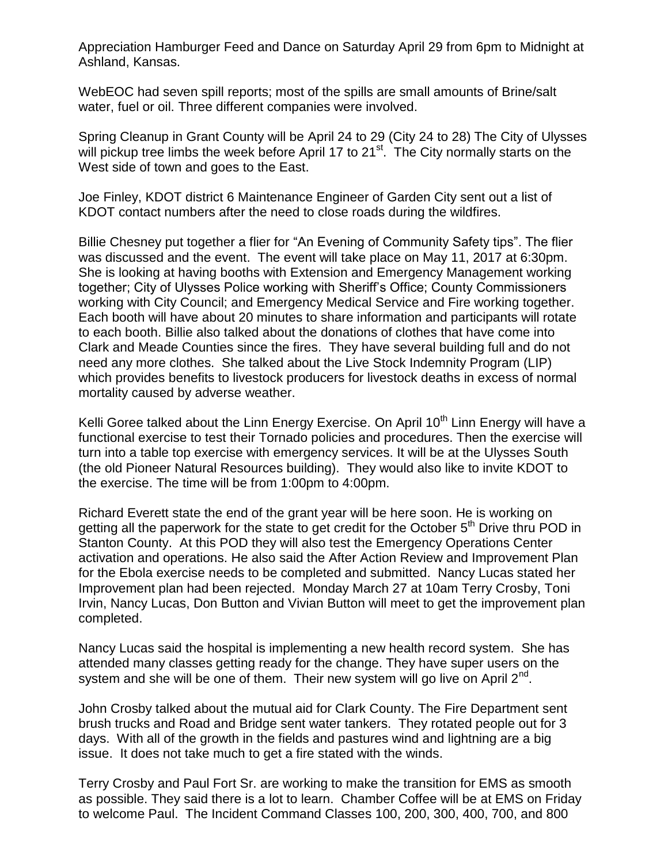Appreciation Hamburger Feed and Dance on Saturday April 29 from 6pm to Midnight at Ashland, Kansas.

WebEOC had seven spill reports; most of the spills are small amounts of Brine/salt water, fuel or oil. Three different companies were involved.

Spring Cleanup in Grant County will be April 24 to 29 (City 24 to 28) The City of Ulysses will pickup tree limbs the week before April 17 to 21<sup>st</sup>. The City normally starts on the West side of town and goes to the East.

Joe Finley, KDOT district 6 Maintenance Engineer of Garden City sent out a list of KDOT contact numbers after the need to close roads during the wildfires.

Billie Chesney put together a flier for "An Evening of Community Safety tips". The flier was discussed and the event. The event will take place on May 11, 2017 at 6:30pm. She is looking at having booths with Extension and Emergency Management working together; City of Ulysses Police working with Sheriff's Office; County Commissioners working with City Council; and Emergency Medical Service and Fire working together. Each booth will have about 20 minutes to share information and participants will rotate to each booth. Billie also talked about the donations of clothes that have come into Clark and Meade Counties since the fires. They have several building full and do not need any more clothes. She talked about the Live Stock Indemnity Program (LIP) which provides benefits to livestock producers for livestock deaths in excess of normal mortality caused by adverse weather.

Kelli Goree talked about the Linn Energy Exercise. On April 10<sup>th</sup> Linn Energy will have a functional exercise to test their Tornado policies and procedures. Then the exercise will turn into a table top exercise with emergency services. It will be at the Ulysses South (the old Pioneer Natural Resources building). They would also like to invite KDOT to the exercise. The time will be from 1:00pm to 4:00pm.

Richard Everett state the end of the grant year will be here soon. He is working on getting all the paperwork for the state to get credit for the October 5<sup>th</sup> Drive thru POD in Stanton County. At this POD they will also test the Emergency Operations Center activation and operations. He also said the After Action Review and Improvement Plan for the Ebola exercise needs to be completed and submitted. Nancy Lucas stated her Improvement plan had been rejected. Monday March 27 at 10am Terry Crosby, Toni Irvin, Nancy Lucas, Don Button and Vivian Button will meet to get the improvement plan completed.

Nancy Lucas said the hospital is implementing a new health record system. She has attended many classes getting ready for the change. They have super users on the system and she will be one of them. Their new system will go live on April 2<sup>nd</sup>.

John Crosby talked about the mutual aid for Clark County. The Fire Department sent brush trucks and Road and Bridge sent water tankers. They rotated people out for 3 days. With all of the growth in the fields and pastures wind and lightning are a big issue. It does not take much to get a fire stated with the winds.

Terry Crosby and Paul Fort Sr. are working to make the transition for EMS as smooth as possible. They said there is a lot to learn. Chamber Coffee will be at EMS on Friday to welcome Paul. The Incident Command Classes 100, 200, 300, 400, 700, and 800